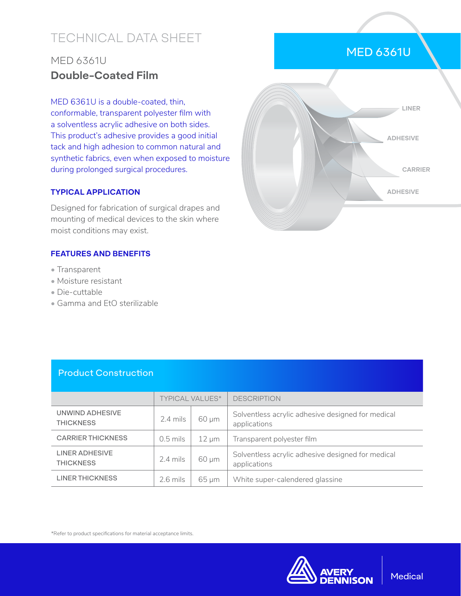# TECHNICAL DATA SHEET

## MED 6361U **Double-Coated Film**

MED 6361U is a double-coated, thin, conformable, transparent polyester film with a solventless acrylic adhesive on both sides. This product's adhesive provides a good initial tack and high adhesion to common natural and synthetic fabrics, even when exposed to moisture during prolonged surgical procedures.

#### **TYPICAL APPLICATION**

Designed for fabrication of surgical drapes and mounting of medical devices to the skin where moist conditions may exist.

#### **FEATURES AND BENEFITS**

- Transparent
- Moisture resistant
- Die-cuttable
- Gamma and EtO sterilizable



MED 6361U

#### Product Construction

|                                     | <b>TYPICAL VALUES*</b> |            | <b>DESCRIPTION</b>                                                |  |
|-------------------------------------|------------------------|------------|-------------------------------------------------------------------|--|
| UNWIND ADHESIVE<br><b>THICKNESS</b> | $2.4 \,\mathrm{mils}$  | 60 µm      | Solventless acrylic adhesive designed for medical<br>applications |  |
| <b>CARRIER THICKNESS</b>            | $0.5$ mils             | $12 \mu m$ | Transparent polyester film                                        |  |
| LINER ADHESIVE<br><b>THICKNESS</b>  | $2.4$ mils             | 60 µm      | Solventless acrylic adhesive designed for medical<br>applications |  |
| <b>LINER THICKNESS</b>              | $2.6$ mils             | $65 \mu m$ | White super-calendered glassine                                   |  |

\*Refer to product specifications for material acceptance limits.